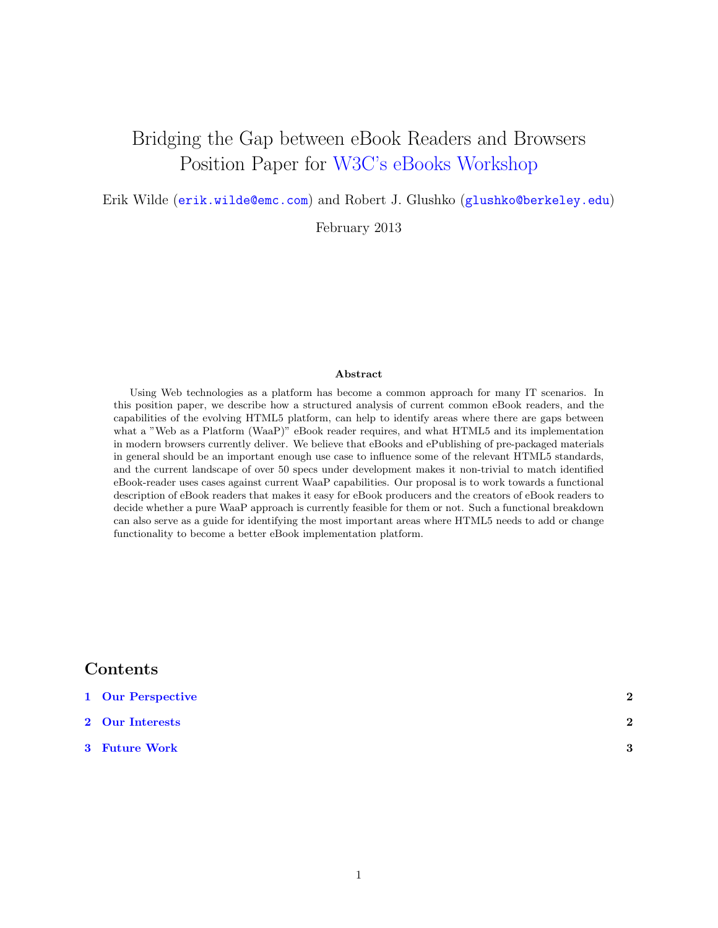# Bridging the Gap between eBook Readers and Browsers Position Paper for [W3C's eBooks Workshop](http://www.w3.org/2012/08/electronic-books/Overview.html)

Erik Wilde ([erik.wilde@emc.com](mailto:erik.wilde@emc.com)) and Robert J. Glushko ([glushko@berkeley.edu](mailto:glushko@berkeley.edu))

February 2013

#### Abstract

Using Web technologies as a platform has become a common approach for many IT scenarios. In this position paper, we describe how a structured analysis of current common eBook readers, and the capabilities of the evolving HTML5 platform, can help to identify areas where there are gaps between what a "Web as a Platform (WaaP)" eBook reader requires, and what HTML5 and its implementation in modern browsers currently deliver. We believe that eBooks and ePublishing of pre-packaged materials in general should be an important enough use case to influence some of the relevant HTML5 standards, and the current landscape of over 50 specs under development makes it non-trivial to match identified eBook-reader uses cases against current WaaP capabilities. Our proposal is to work towards a functional description of eBook readers that makes it easy for eBook producers and the creators of eBook readers to decide whether a pure WaaP approach is currently feasible for them or not. Such a functional breakdown can also serve as a guide for identifying the most important areas where HTML5 needs to add or change functionality to become a better eBook implementation platform.

#### Contents

| 1 Our Perspective | 2                       |
|-------------------|-------------------------|
| 2 Our Interests   | $\overline{\mathbf{2}}$ |
| 3 Future Work     | 3                       |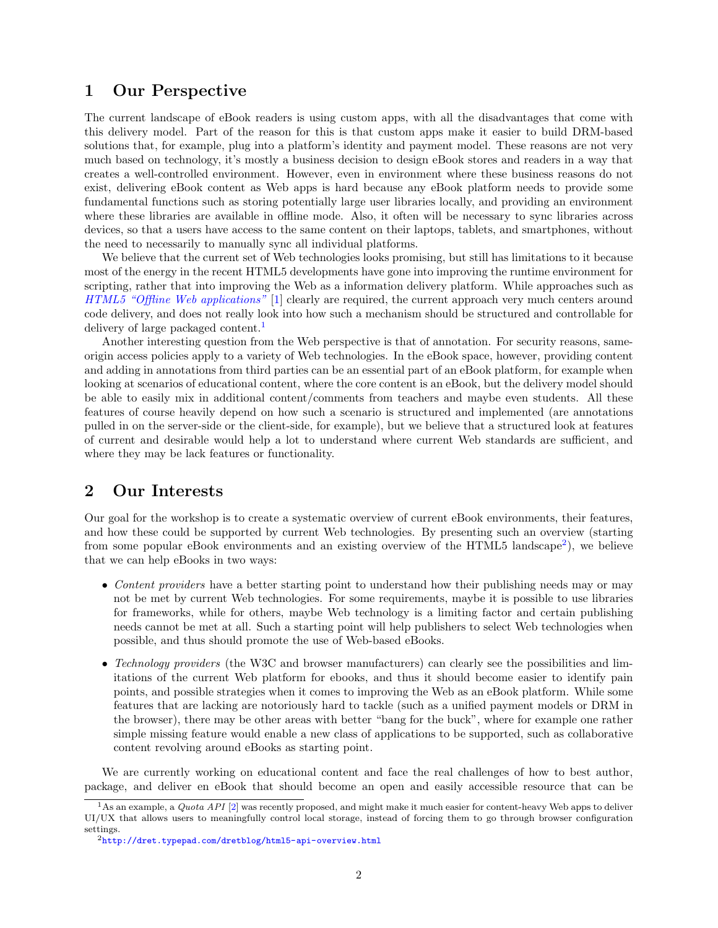#### <span id="page-1-0"></span>1 Our Perspective

The current landscape of eBook readers is using custom apps, with all the disadvantages that come with this delivery model. Part of the reason for this is that custom apps make it easier to build DRM-based solutions that, for example, plug into a platform's identity and payment model. These reasons are not very much based on technology, it's mostly a business decision to design eBook stores and readers in a way that creates a well-controlled environment. However, even in environment where these business reasons do not exist, delivering eBook content as Web apps is hard because any eBook platform needs to provide some fundamental functions such as storing potentially large user libraries locally, and providing an environment where these libraries are available in offline mode. Also, it often will be necessary to sync libraries across devices, so that a users have access to the same content on their laptops, tablets, and smartphones, without the need to necessarily to manually sync all individual platforms.

We believe that the current set of Web technologies looks promising, but still has limitations to it because most of the energy in the recent HTML5 developments have gone into improving the runtime environment for scripting, rather that into improving the Web as a information delivery platform. While approaches such as [HTML5 "Offline Web applications"](http://www.w3.org/TR/2011/WD-html5-20110525/offline.html#offline) [\[1\]](#page-2-0) clearly are required, the current approach very much centers around code delivery, and does not really look into how such a mechanism should be structured and controllable for delivery of large packaged content.<sup>1</sup>

Another interesting question from the Web perspective is that of annotation. For security reasons, sameorigin access policies apply to a variety of Web technologies. In the eBook space, however, providing content and adding in annotations from third parties can be an essential part of an eBook platform, for example when looking at scenarios of educational content, where the core content is an eBook, but the delivery model should be able to easily mix in additional content/comments from teachers and maybe even students. All these features of course heavily depend on how such a scenario is structured and implemented (are annotations pulled in on the server-side or the client-side, for example), but we believe that a structured look at features of current and desirable would help a lot to understand where current Web standards are sufficient, and where they may be lack features or functionality.

### 2 Our Interests

Our goal for the workshop is to create a systematic overview of current eBook environments, their features, and how these could be supported by current Web technologies. By presenting such an overview (starting from some popular eBook environments and an existing overview of the HTML5 landscape<sup>2</sup>), we believe that we can help eBooks in two ways:

- Content providers have a better starting point to understand how their publishing needs may or may not be met by current Web technologies. For some requirements, maybe it is possible to use libraries for frameworks, while for others, maybe Web technology is a limiting factor and certain publishing needs cannot be met at all. Such a starting point will help publishers to select Web technologies when possible, and thus should promote the use of Web-based eBooks.
- Technology providers (the W3C and browser manufacturers) can clearly see the possibilities and limitations of the current Web platform for ebooks, and thus it should become easier to identify pain points, and possible strategies when it comes to improving the Web as an eBook platform. While some features that are lacking are notoriously hard to tackle (such as a unified payment models or DRM in the browser), there may be other areas with better "bang for the buck", where for example one rather simple missing feature would enable a new class of applications to be supported, such as collaborative content revolving around eBooks as starting point.

We are currently working on educational content and face the real challenges of how to best author, package, and deliver en eBook that should become an open and easily accessible resource that can be

<sup>&</sup>lt;sup>1</sup>As an example, a *Quota API* [\[2\]](#page-2-0) was recently proposed, and might make it much easier for content-heavy Web apps to deliver UI/UX that allows users to meaningfully control local storage, instead of forcing them to go through browser configuration settings.

<sup>2</sup><http://dret.typepad.com/dretblog/html5-api-overview.html>